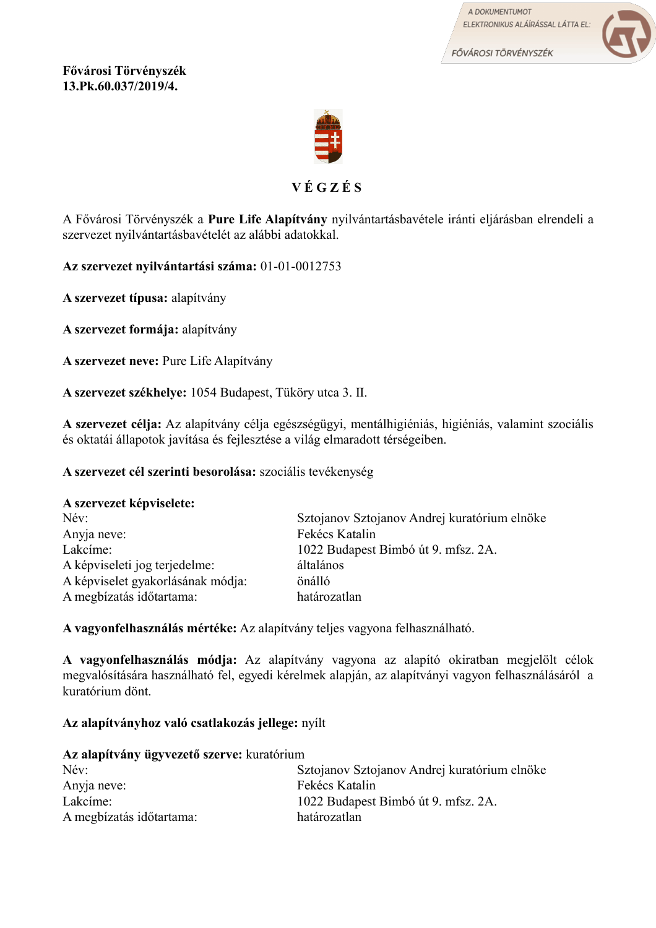A DOKUMENTUMOT ELEKTRONIKUS ALÁÍRÁSSAL LÁTTA EL:

FŐVÁROSI TÖRVÉNYSZÉK



**Fővárosi Törvényszék 13.Pk.60.037/2019/4.**



# **V É G Z É S**

A Fővárosi Törvényszék a **Pure Life Alapítvány** nyilvántartásbavétele iránti eljárásban elrendeli a szervezet nyilvántartásbavételét az alábbi adatokkal.

**Az szervezet nyilvántartási száma:** 01-01-0012753

**A szervezet típusa:** alapítvány

**A szervezet formája:** alapítvány

**A szervezet neve:** Pure Life Alapítvány

**A szervezet székhelye:** 1054 Budapest, Tüköry utca 3. II.

**A szervezet célja:** Az alapítvány célja egészségügyi, mentálhigiéniás, higiéniás, valamint szociális és oktatái állapotok javítása és fejlesztése a világ elmaradott térségeiben.

**A szervezet cél szerinti besorolása:** szociális tevékenység

## **A szervezet képviselete:**

| Név:                              | Sztojanov Sztojanov Andrej kuratórium elnöke |
|-----------------------------------|----------------------------------------------|
| Anyja neve:                       | Fekécs Katalin                               |
| Lakcime:                          | 1022 Budapest Bimbó út 9. mfsz. 2A.          |
| A képviseleti jog terjedelme:     | általános                                    |
| A képviselet gyakorlásának módja: | önálló                                       |
| A megbízatás időtartama:          | határozatlan                                 |

**A vagyonfelhasználás mértéke:** Az alapítvány teljes vagyona felhasználható.

**A vagyonfelhasználás módja:** Az alapítvány vagyona az alapító okiratban megjelölt célok megvalósítására használható fel, egyedi kérelmek alapján, az alapítványi vagyon felhasználásáról a kuratórium dönt.

**Az alapítványhoz való csatlakozás jellege:** nyílt

| Az alapítvány ügyvezető szerve: kuratórium |                                              |  |
|--------------------------------------------|----------------------------------------------|--|
| Név:                                       | Sztojanov Sztojanov Andrej kuratórium elnöke |  |
| Anyja neve:                                | Fekécs Katalin                               |  |
| Lakcíme:                                   | 1022 Budapest Bimbó út 9. mfsz. 2A.          |  |
| A megbízatás időtartama:                   | határozatlan                                 |  |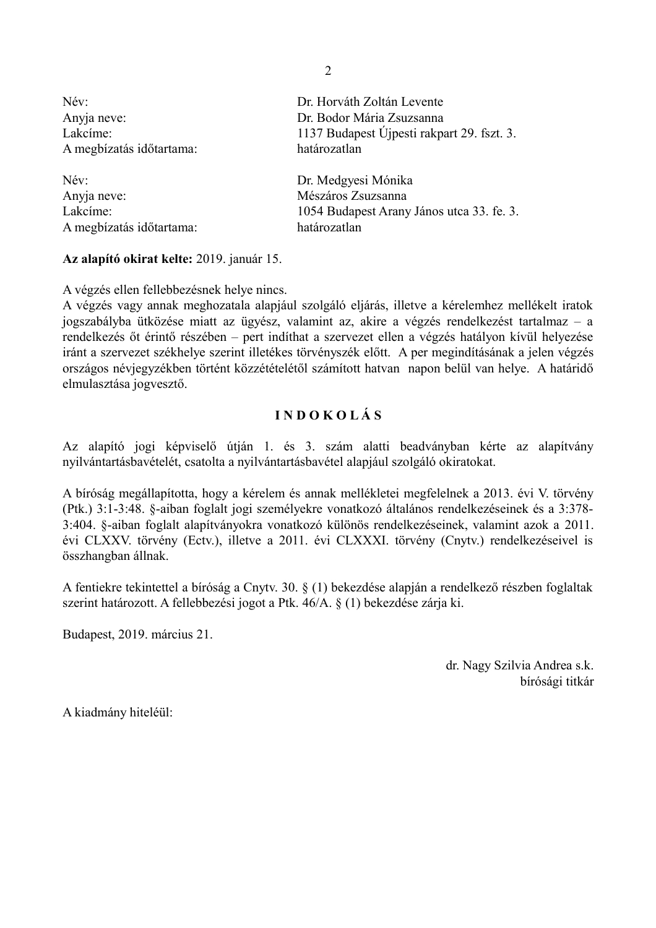| Név:                     | Dr. Horváth Zoltán Levente                 |
|--------------------------|--------------------------------------------|
| Anyja neve:              | Dr. Bodor Mária Zsuzsanna                  |
| Lakcime:                 | 1137 Budapest Újpesti rakpart 29. fszt. 3. |
| A megbízatás időtartama: | határozatlan                               |
| Név:                     | Dr. Medgyesi Mónika                        |
| Anyja neve:              | Mészáros Zsuzsanna                         |
| Lakcime:                 | 1054 Budapest Arany János utca 33. fe. 3.  |
| A megbízatás időtartama: | határozatlan                               |

### **Az alapító okirat kelte:** 2019. január 15.

A végzés ellen fellebbezésnek helye nincs.

A végzés vagy annak meghozatala alapjául szolgáló eljárás, illetve a kérelemhez mellékelt iratok jogszabályba ütközése miatt az ügyész, valamint az, akire a végzés rendelkezést tartalmaz – a rendelkezés őt érintő részében – pert indíthat a szervezet ellen a végzés hatályon kívül helyezése iránt a szervezet székhelye szerint illetékes törvényszék előtt. A per megindításának a jelen végzés országos névjegyzékben történt közzétételétől számított hatvan napon belül van helye. A határidő elmulasztása jogvesztő.

## **I N D O K O L Á S**

Az alapító jogi képviselő útján 1. és 3. szám alatti beadványban kérte az alapítvány nyilvántartásbavételét, csatolta a nyilvántartásbavétel alapjául szolgáló okiratokat.

A bíróság megállapította, hogy a kérelem és annak mellékletei megfelelnek a 2013. évi V. törvény (Ptk.) 3:1-3:48. §-aiban foglalt jogi személyekre vonatkozó általános rendelkezéseinek és a 3:378- 3:404. §-aiban foglalt alapítványokra vonatkozó különös rendelkezéseinek, valamint azok a 2011. évi CLXXV. törvény (Ectv.), illetve a 2011. évi CLXXXI. törvény (Cnytv.) rendelkezéseivel is összhangban állnak.

A fentiekre tekintettel a bíróság a Cnytv. 30. § (1) bekezdése alapján a rendelkező részben foglaltak szerint határozott. A fellebbezési jogot a Ptk. 46/A. § (1) bekezdése zárja ki.

Budapest, 2019. március 21.

 dr. Nagy Szilvia Andrea s.k. bírósági titkár

A kiadmány hiteléül:

2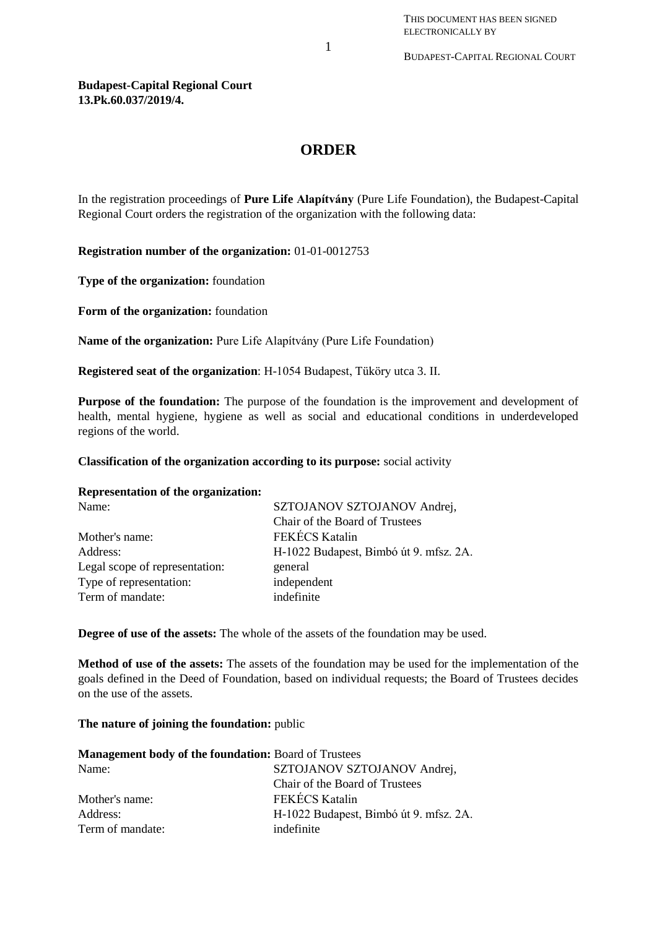### **Budapest-Capital Regional Court 13.Pk.60.037/2019/4.**

## **ORDER**

In the registration proceedings of **Pure Life Alapítvány** (Pure Life Foundation), the Budapest-Capital Regional Court orders the registration of the organization with the following data:

**Registration number of the organization:** 01-01-0012753

**Type of the organization:** foundation

**Form of the organization:** foundation

**Name of the organization:** Pure Life Alapítvány (Pure Life Foundation)

**Registered seat of the organization**: H-1054 Budapest, Tüköry utca 3. II.

**Purpose of the foundation:** The purpose of the foundation is the improvement and development of health, mental hygiene, hygiene as well as social and educational conditions in underdeveloped regions of the world.

**Classification of the organization according to its purpose:** social activity

### **Representation of the organization:**

| Name:                          | SZTOJANOV SZTOJANOV Andrej,            |
|--------------------------------|----------------------------------------|
|                                | Chair of the Board of Trustees         |
| Mother's name:                 | <b>FEKÉCS Katalin</b>                  |
| Address:                       | H-1022 Budapest, Bimbó út 9. mfsz. 2A. |
| Legal scope of representation: | general                                |
| Type of representation:        | independent                            |
| Term of mandate:               | indefinite                             |
|                                |                                        |

**Degree of use of the assets:** The whole of the assets of the foundation may be used.

**Method of use of the assets:** The assets of the foundation may be used for the implementation of the goals defined in the Deed of Foundation, based on individual requests; the Board of Trustees decides on the use of the assets.

### **The nature of joining the foundation:** public

| <b>Management body of the foundation: Board of Trustees</b> |                                        |  |
|-------------------------------------------------------------|----------------------------------------|--|
| Name:                                                       | SZTOJANOV SZTOJANOV Andrej,            |  |
|                                                             | Chair of the Board of Trustees         |  |
| Mother's name:                                              | FEKÉCS Katalin                         |  |
| Address:                                                    | H-1022 Budapest, Bimbó út 9. mfsz. 2A. |  |
| Term of mandate:                                            | indefinite                             |  |